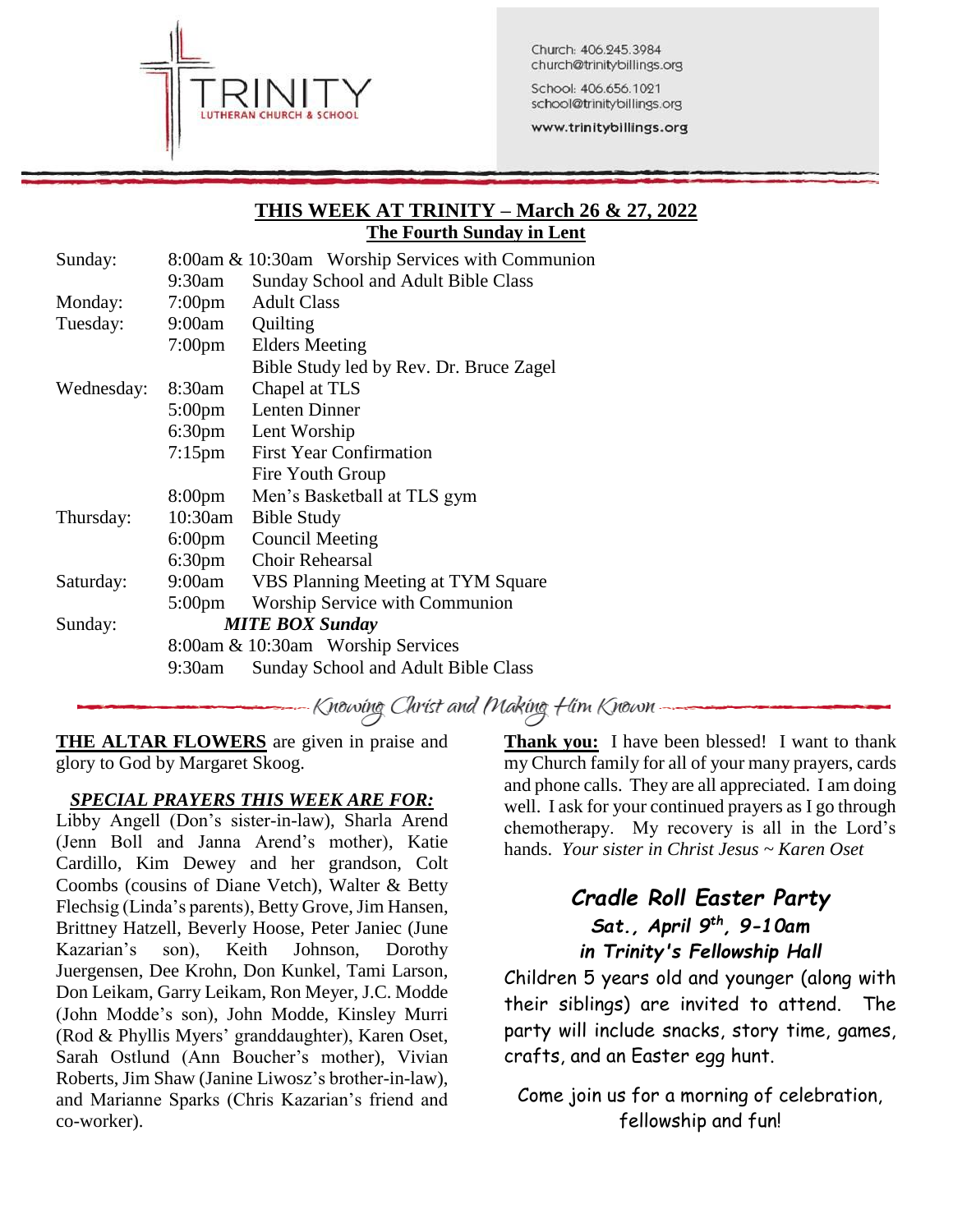

Church: 406.245.3984 church@trinitybillings.org

School: 406.656.1021 school@trinitybillings.org

www.trinitybillings.org

### **THIS WEEK AT TRINITY – March 26 & 27, 2022 The Fourth Sunday in Lent**

| Sunday:    |                    | 8:00am & 10:30am Worship Services with Communion |
|------------|--------------------|--------------------------------------------------|
|            | 9:30am             | Sunday School and Adult Bible Class              |
| Monday:    | $7:00 \text{pm}$   | <b>Adult Class</b>                               |
| Tuesday:   | 9:00am             | Quilting                                         |
|            | $7:00 \text{pm}$   | <b>Elders Meeting</b>                            |
|            |                    | Bible Study led by Rev. Dr. Bruce Zagel          |
| Wednesday: | 8:30am             | Chapel at TLS                                    |
|            | $5:00 \text{pm}$   | Lenten Dinner                                    |
|            | 6:30 <sub>pm</sub> | Lent Worship                                     |
|            | $7:15$ pm          | <b>First Year Confirmation</b>                   |
|            |                    | Fire Youth Group                                 |
|            | 8:00 <sub>pm</sub> | Men's Basketball at TLS gym                      |
| Thursday:  | $10:30$ am         | <b>Bible Study</b>                               |
|            | $6:00 \text{pm}$   | <b>Council Meeting</b>                           |
|            | 6:30 <sub>pm</sub> | <b>Choir Rehearsal</b>                           |
| Saturday:  | 9:00am             | VBS Planning Meeting at TYM Square               |
|            | $5:00 \text{pm}$   | Worship Service with Communion                   |
| Sunday:    |                    | <b>MITE BOX Sunday</b>                           |
|            |                    | 8:00am & 10:30am Worship Services                |
|            | 9:30am             | Sunday School and Adult Bible Class              |
|            |                    |                                                  |

Knowing Christ and Making Him Known -

**THE ALTAR FLOWERS** are given in praise and glory to God by Margaret Skoog.

### *SPECIAL PRAYERS THIS WEEK ARE FOR:*

Libby Angell (Don's sister-in-law), Sharla Arend (Jenn Boll and Janna Arend's mother), Katie Cardillo, Kim Dewey and her grandson, Colt Coombs (cousins of Diane Vetch), Walter & Betty Flechsig (Linda's parents), Betty Grove, Jim Hansen, Brittney Hatzell, Beverly Hoose, Peter Janiec (June Kazarian's son), Keith Johnson, Dorothy Juergensen, Dee Krohn, Don Kunkel, Tami Larson, Don Leikam, Garry Leikam, Ron Meyer, J.C. Modde (John Modde's son), John Modde, Kinsley Murri (Rod & Phyllis Myers' granddaughter), Karen Oset, Sarah Ostlund (Ann Boucher's mother), Vivian Roberts, Jim Shaw (Janine Liwosz's brother-in-law), and Marianne Sparks (Chris Kazarian's friend and co-worker).

**Thank you:** I have been blessed! I want to thank my Church family for all of your many prayers, cards and phone calls. They are all appreciated. I am doing well. I ask for your continued prayers as I go through chemotherapy. My recovery is all in the Lord's hands. *Your sister in Christ Jesus ~ Karen Oset*

# *Cradle Roll Easter Party Sat., April 9th, 9-10am in Trinity's Fellowship Hall*

Children 5 years old and younger (along with their siblings) are invited to attend. The party will include snacks, story time, games, crafts, and an Easter egg hunt.

Come join us for a morning of celebration, fellowship and fun!